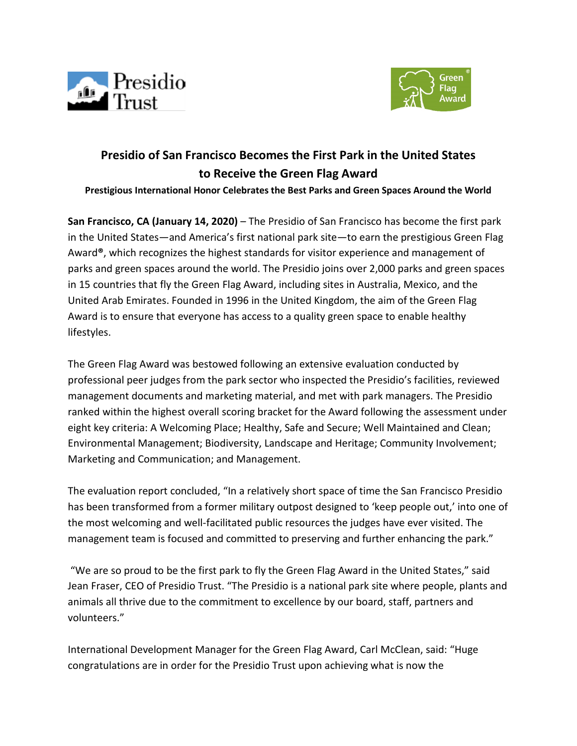



# **Presidio of San Francisco Becomes the First Park in the United States to Receive the Green Flag Award**

**Prestigious International Honor Celebrates the Best Parks and Green Spaces Around the World**

**San Francisco, CA (January 14, 2020)** – The Presidio of San Francisco has become the first park in the United States—and America's first national park site—to earn the prestigious Green Flag Award**®**, which recognizes the highest standards for visitor experience and management of parks and green spaces around the world. The Presidio joins over 2,000 parks and green spaces in 15 countries that fly the Green Flag Award, including sites in Australia, Mexico, and the United Arab Emirates. Founded in 1996 in the United Kingdom, the aim of the Green Flag Award is to ensure that everyone has access to a quality green space to enable healthy lifestyles.

The Green Flag Award was bestowed following an extensive evaluation conducted by professional peer judges from the park sector who inspected the Presidio's facilities, reviewed management documents and marketing material, and met with park managers. The Presidio ranked within the highest overall scoring bracket for the Award following the assessment under eight key criteria: A Welcoming Place; Healthy, Safe and Secure; Well Maintained and Clean; Environmental Management; Biodiversity, Landscape and Heritage; Community Involvement; Marketing and Communication; and Management.

The evaluation report concluded, "In a relatively short space of time the San Francisco Presidio has been transformed from a former military outpost designed to 'keep people out,' into one of the most welcoming and well-facilitated public resources the judges have ever visited. The management team is focused and committed to preserving and further enhancing the park."

"We are so proud to be the first park to fly the Green Flag Award in the United States," said Jean Fraser, CEO of Presidio Trust. "The Presidio is a national park site where people, plants and animals all thrive due to the commitment to excellence by our board, staff, partners and volunteers."

International Development Manager for the Green Flag Award, Carl McClean, said: "Huge congratulations are in order for the Presidio Trust upon achieving what is now the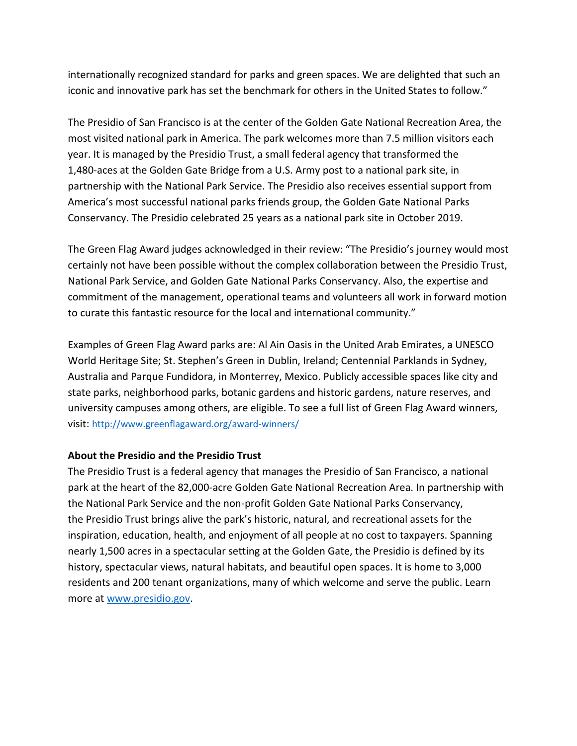internationally recognized standard for parks and green spaces. We are delighted that such an iconic and innovative park has set the benchmark for others in the United States to follow."

The Presidio of San Francisco is at the center of the Golden Gate National Recreation Area, the most visited national park in America. The park welcomes more than 7.5 million visitors each year. It is managed by the Presidio Trust, a small federal agency that transformed the 1,480-aces at the Golden Gate Bridge from a U.S. Army post to a national park site, in partnership with the National Park Service. The Presidio also receives essential support from America's most successful national parks friends group, the Golden Gate National Parks Conservancy. The Presidio celebrated 25 years as a national park site in October 2019.

The Green Flag Award judges acknowledged in their review: "The Presidio's journey would most certainly not have been possible without the complex collaboration between the Presidio Trust, National Park Service, and Golden Gate National Parks Conservancy. Also, the expertise and commitment of the management, operational teams and volunteers all work in forward motion to curate this fantastic resource for the local and international community."

Examples of Green Flag Award parks are: Al Ain Oasis in the United Arab Emirates, a UNESCO World Heritage Site; St. Stephen's Green in Dublin, Ireland; Centennial Parklands in Sydney, Australia and Parque Fundidora, in Monterrey, Mexico. Publicly accessible spaces like city and state parks, neighborhood parks, botanic gardens and historic gardens, nature reserves, and university campuses among others, are eligible. To see a full list of Green Flag Award winners, visit:<http://www.greenflagaward.org/award-winners/>

## **About the Presidio and the Presidio Trust**

The Presidio Trust is a federal agency that manages the Presidio of San Francisco, a national park at the heart of the 82,000-acre Golden Gate National Recreation Area. In partnership with the National Park Service and the non-profit Golden Gate National Parks Conservancy, the Presidio Trust brings alive the park's historic, natural, and recreational assets for the inspiration, education, health, and enjoyment of all people at no cost to taxpayers. Spanning nearly 1,500 acres in a spectacular setting at the Golden Gate, the Presidio is defined by its history, spectacular views, natural habitats, and beautiful open spaces. It is home to 3,000 residents and 200 tenant organizations, many of which welcome and serve the public. Learn more at [www.presidio.gov.](http://www.presidio.gov/)